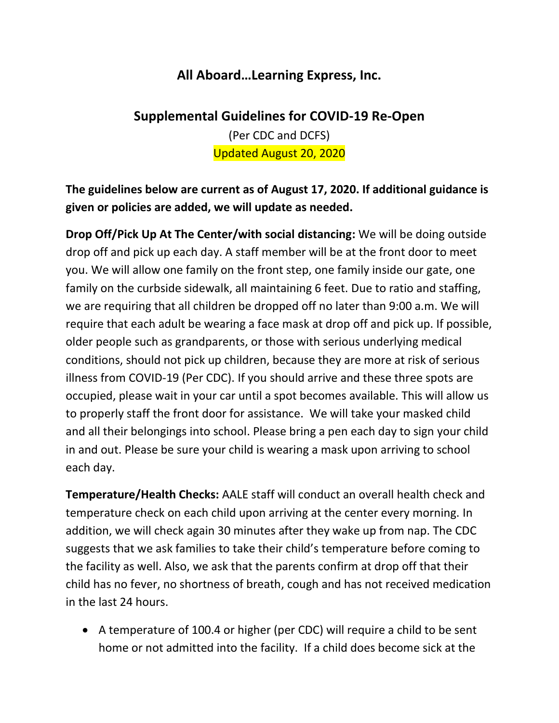## **All Aboard…Learning Express, Inc.**

## **Supplemental Guidelines for COVID-19 Re-Open**

(Per CDC and DCFS) Updated August 20, 2020

**The guidelines below are current as of August 17, 2020. If additional guidance is given or policies are added, we will update as needed.** 

**Drop Off/Pick Up At The Center/with social distancing:** We will be doing outside drop off and pick up each day. A staff member will be at the front door to meet you. We will allow one family on the front step, one family inside our gate, one family on the curbside sidewalk, all maintaining 6 feet. Due to ratio and staffing, we are requiring that all children be dropped off no later than 9:00 a.m. We will require that each adult be wearing a face mask at drop off and pick up. If possible, older people such as grandparents, or those with serious underlying medical conditions, should not pick up children, because they are more at risk of serious illness from COVID-19 (Per CDC). If you should arrive and these three spots are occupied, please wait in your car until a spot becomes available. This will allow us to properly staff the front door for assistance. We will take your masked child and all their belongings into school. Please bring a pen each day to sign your child in and out. Please be sure your child is wearing a mask upon arriving to school each day.

**Temperature/Health Checks:** AALE staff will conduct an overall health check and temperature check on each child upon arriving at the center every morning. In addition, we will check again 30 minutes after they wake up from nap. The CDC suggests that we ask families to take their child's temperature before coming to the facility as well. Also, we ask that the parents confirm at drop off that their child has no fever, no shortness of breath, cough and has not received medication in the last 24 hours.

• A temperature of 100.4 or higher (per CDC) will require a child to be sent home or not admitted into the facility. If a child does become sick at the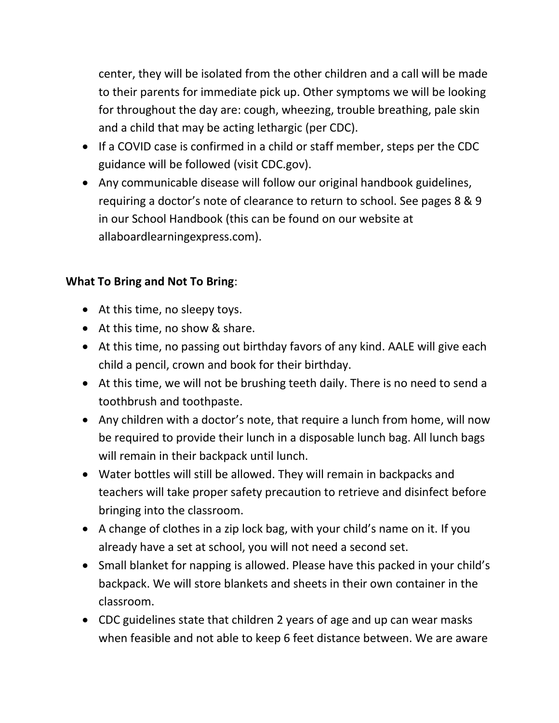center, they will be isolated from the other children and a call will be made to their parents for immediate pick up. Other symptoms we will be looking for throughout the day are: cough, wheezing, trouble breathing, pale skin and a child that may be acting lethargic (per CDC).

- If a COVID case is confirmed in a child or staff member, steps per the CDC guidance will be followed (visit CDC.gov).
- Any communicable disease will follow our original handbook guidelines, requiring a doctor's note of clearance to return to school. See pages 8 & 9 in our School Handbook (this can be found on our website at allaboardlearningexpress.com).

## **What To Bring and Not To Bring**:

- At this time, no sleepy toys.
- At this time, no show & share.
- At this time, no passing out birthday favors of any kind. AALE will give each child a pencil, crown and book for their birthday.
- At this time, we will not be brushing teeth daily. There is no need to send a toothbrush and toothpaste.
- Any children with a doctor's note, that require a lunch from home, will now be required to provide their lunch in a disposable lunch bag. All lunch bags will remain in their backpack until lunch.
- Water bottles will still be allowed. They will remain in backpacks and teachers will take proper safety precaution to retrieve and disinfect before bringing into the classroom.
- A change of clothes in a zip lock bag, with your child's name on it. If you already have a set at school, you will not need a second set.
- Small blanket for napping is allowed. Please have this packed in your child's backpack. We will store blankets and sheets in their own container in the classroom.
- CDC guidelines state that children 2 years of age and up can wear masks when feasible and not able to keep 6 feet distance between. We are aware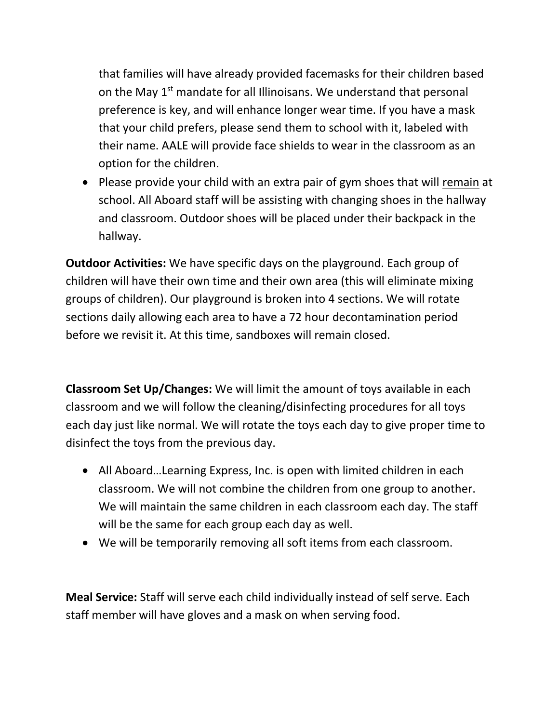that families will have already provided facemasks for their children based on the May  $1<sup>st</sup>$  mandate for all Illinoisans. We understand that personal preference is key, and will enhance longer wear time. If you have a mask that your child prefers, please send them to school with it, labeled with their name. AALE will provide face shields to wear in the classroom as an option for the children.

• Please provide your child with an extra pair of gym shoes that will remain at school. All Aboard staff will be assisting with changing shoes in the hallway and classroom. Outdoor shoes will be placed under their backpack in the hallway.

**Outdoor Activities:** We have specific days on the playground. Each group of children will have their own time and their own area (this will eliminate mixing groups of children). Our playground is broken into 4 sections. We will rotate sections daily allowing each area to have a 72 hour decontamination period before we revisit it. At this time, sandboxes will remain closed.

**Classroom Set Up/Changes:** We will limit the amount of toys available in each classroom and we will follow the cleaning/disinfecting procedures for all toys each day just like normal. We will rotate the toys each day to give proper time to disinfect the toys from the previous day.

- All Aboard…Learning Express, Inc. is open with limited children in each classroom. We will not combine the children from one group to another. We will maintain the same children in each classroom each day. The staff will be the same for each group each day as well.
- We will be temporarily removing all soft items from each classroom.

**Meal Service:** Staff will serve each child individually instead of self serve. Each staff member will have gloves and a mask on when serving food.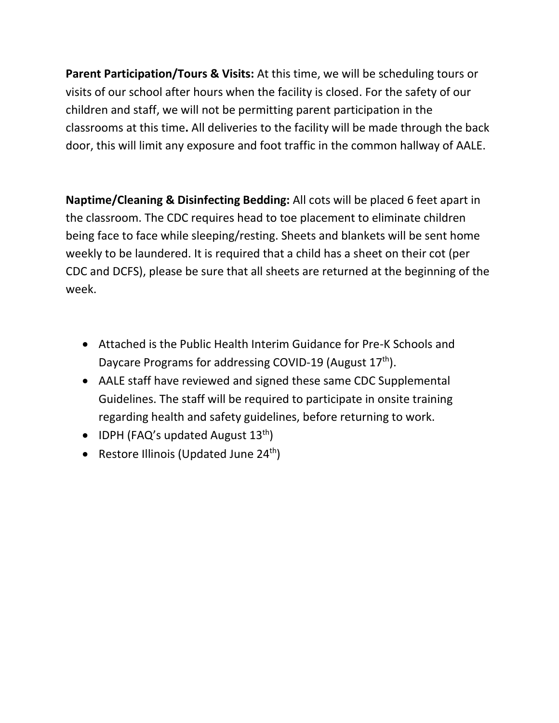**Parent Participation/Tours & Visits:** At this time, we will be scheduling tours or visits of our school after hours when the facility is closed. For the safety of our children and staff, we will not be permitting parent participation in the classrooms at this time**.** All deliveries to the facility will be made through the back door, this will limit any exposure and foot traffic in the common hallway of AALE.

**Naptime/Cleaning & Disinfecting Bedding:** All cots will be placed 6 feet apart in the classroom. The CDC requires head to toe placement to eliminate children being face to face while sleeping/resting. Sheets and blankets will be sent home weekly to be laundered. It is required that a child has a sheet on their cot (per CDC and DCFS), please be sure that all sheets are returned at the beginning of the week.

- Attached is the Public Health Interim Guidance for Pre-K Schools and Daycare Programs for addressing COVID-19 (August  $17<sup>th</sup>$ ).
- AALE staff have reviewed and signed these same CDC Supplemental Guidelines. The staff will be required to participate in onsite training regarding health and safety guidelines, before returning to work.
- IDPH (FAQ's updated August  $13<sup>th</sup>$ )
- Restore Illinois (Updated June  $24<sup>th</sup>$ )